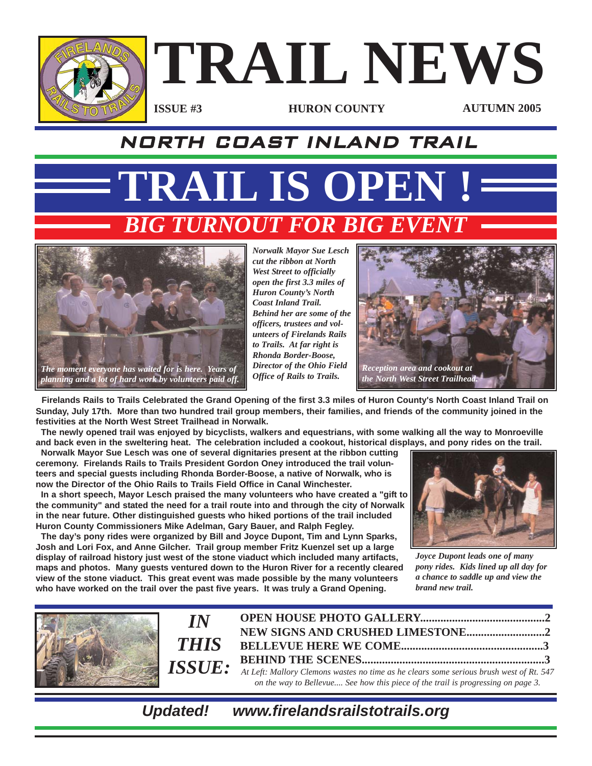

### NORTH COAST INLAND TRAIL

**TRAIL IS OPEN ! BIG TURNOUT FOR BIG EVENT** 



*Norwalk Mayor Sue Lesch cut the ribbon at North West Street to officially open the first 3.3 miles of Huron County's North Coast Inland Trail. Behind her are some of the officers, trustees and volunteers of Firelands Rails to Trails. At far right is Rhonda Border-Boose, Director of the Ohio Field Office of Rails to Trails.*



**Firelands Rails to Trails Celebrated the Grand Opening of the first 3.3 miles of Huron County's North Coast Inland Trail on Sunday, July 17th. More than two hundred trail group members, their families, and friends of the community joined in the festivities at the North West Street Trailhead in Norwalk.**

**The newly opened trail was enjoyed by bicyclists, walkers and equestrians, with some walking all the way to Monroeville and back even in the sweltering heat. The celebration included a cookout, historical displays, and pony rides on the trail.**

**Norwalk Mayor Sue Lesch was one of several dignitaries present at the ribbon cutting ceremony. Firelands Rails to Trails President Gordon Oney introduced the trail volunteers and special guests including Rhonda Border-Boose, a native of Norwalk, who is now the Director of the Ohio Rails to Trails Field Office in Canal Winchester.**

**In a short speech, Mayor Lesch praised the many volunteers who have created a "gift to the community" and stated the need for a trail route into and through the city of Norwalk in the near future. Other distinguished guests who hiked portions of the trail included Huron County Commissioners Mike Adelman, Gary Bauer, and Ralph Fegley.** 

**The day's pony rides were organized by Bill and Joyce Dupont, Tim and Lynn Sparks, Josh and Lori Fox, and Anne Gilcher. Trail group member Fritz Kuenzel set up a large display of railroad history just west of the stone viaduct which included many artifacts, maps and photos. Many guests ventured down to the Huron River for a recently cleared view of the stone viaduct. This great event was made possible by the many volunteers who have worked on the trail over the past five years. It was truly a Grand Opening.**



*Joyce Dupont leads one of many pony rides. Kids lined up all day for a chance to saddle up and view the brand new trail.*



*Updated! www.firelandsrailstotrails.org*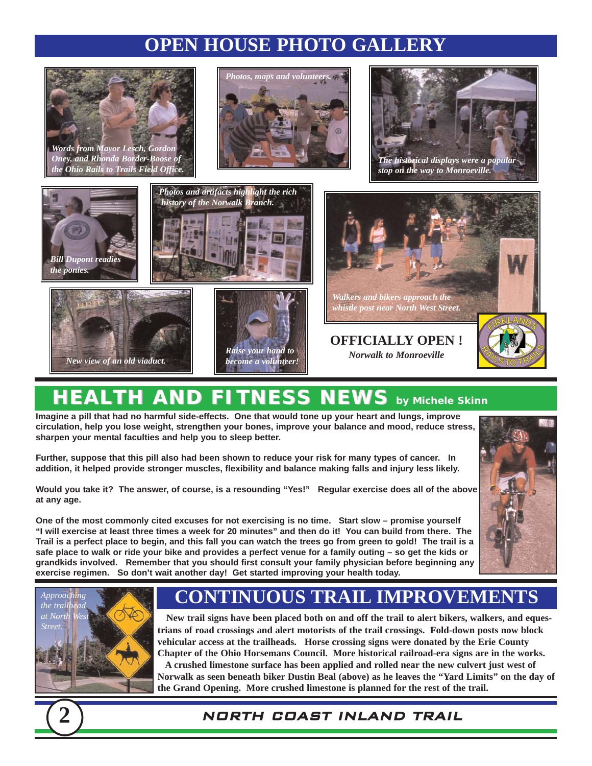## **OPEN HOUSE PHOTO GALLERY**



*Words from Mayor Lesch, Gordon Oney, and Rhonda Border-Boose of the Ohio Rails to Trails Field Office.*





*stop on the way to Monroeville.*





# **HEALTH AND FITNESS NEWS** by Michele Skinn

**Imagine a pill that had no harmful side-effects. One that would tone up your heart and lungs, improve circulation, help you lose weight, strengthen your bones, improve your balance and mood, reduce stress, sharpen your mental faculties and help you to sleep better.**

**Further, suppose that this pill also had been shown to reduce your risk for many types of cancer. In addition, it helped provide stronger muscles, flexibility and balance making falls and injury less likely.**

**Would you take it? The answer, of course, is a resounding "Yes!" Regular exercise does all of the above at any age.** 

**One of the most commonly cited excuses for not exercising is no time. Start slow – promise yourself "I will exercise at least three times a week for 20 minutes" and then do it! You can build from there. The Trail is a perfect place to begin, and this fall you can watch the trees go from green to gold! The trail is a safe place to walk or ride your bike and provides a perfect venue for a family outing – so get the kids or grandkids involved. Remember that you should first consult your family physician before beginning any exercise regimen. So don't wait another day! Get started improving your health today.**





### **CONTINUOUS TRAIL IMPROVEMENTS**

**New trail signs have been placed both on and off the trail to alert bikers, walkers, and equestrians of road crossings and alert motorists of the trail crossings. Fold-down posts now block vehicular access at the trailheads. Horse crossing signs were donated by the Erie County Chapter of the Ohio Horsemans Council. More historical railroad-era signs are in the works.**

**A crushed limestone surface has been applied and rolled near the new culvert just west of Norwalk as seen beneath biker Dustin Beal (above) as he leaves the "Yard Limits" on the day of the Grand Opening. More crushed limestone is planned for the rest of the trail.** 

### **2** NORTH COAST INLAND TRAIL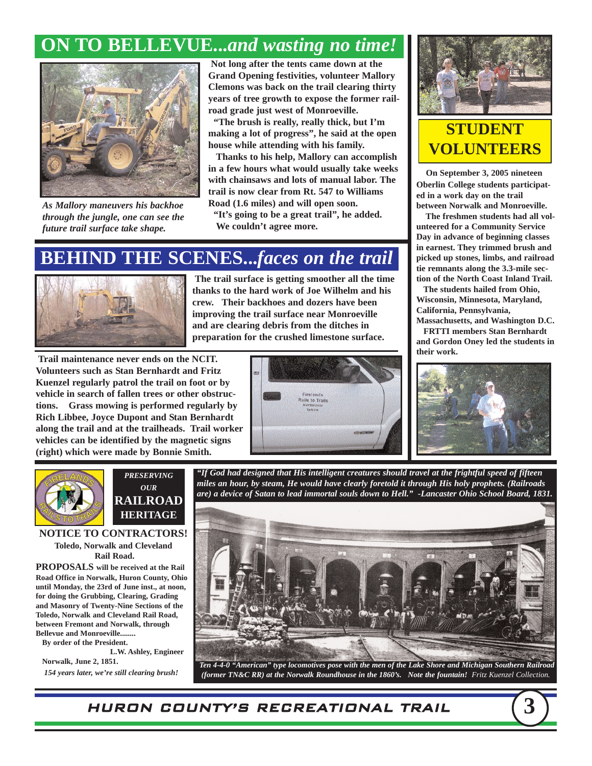### **ON TO BELLEVUE...***and wasting no time!*



*As Mallory maneuvers his backhoe through the jungle, one can see the future trail surface take shape.*

**Not long after the tents came down at the Grand Opening festivities, volunteer Mallory Clemons was back on the trail clearing thirty years of tree growth to expose the former railroad grade just west of Monroeville.** 

**"The brush is really, really thick, but I'm making a lot of progress", he said at the open house while attending with his family.**

**Thanks to his help, Mallory can accomplish in a few hours what would usually take weeks with chainsaws and lots of manual labor. The trail is now clear from Rt. 547 to Williams Road (1.6 miles) and will open soon.**

**"It's going to be a great trail", he added. We couldn't agree more.** 

### **BEHIND THE SCENES...***faces on the trail*



**The trail surface is getting smoother all the time thanks to the hard work of Joe Wilhelm and his crew. Their backhoes and dozers have been improving the trail surface near Monroeville and are clearing debris from the ditches in preparation for the crushed limestone surface.**

**Trail maintenance never ends on the NCIT. Volunteers such as Stan Bernhardt and Fritz Kuenzel regularly patrol the trail on foot or by vehicle in search of fallen trees or other obstructions. Grass mowing is performed regularly by Rich Libbee, Joyce Dupont and Stan Bernhardt along the trail and at the trailheads. Trail worker vehicles can be identified by the magnetic signs (right) which were made by Bonnie Smith.**





### **STUDENT VOLUNTEERS**

**On September 3, 2005 nineteen Oberlin College students participated in a work day on the trail between Norwalk and Monroeville.**

**The freshmen students had all volunteered for a Community Service Day in advance of beginning classes in earnest. They trimmed brush and picked up stones, limbs, and railroad tie remnants along the 3.3-mile section of the North Coast Inland Trail.** 

**The students hailed from Ohio, Wisconsin, Minnesota, Maryland, California, Pennsylvania,**

**Massachusetts, and Washington D.C.**

**FRTTI members Stan Bernhardt and Gordon Oney led the students in their work.** 





*PRESERVING OUR* **RAILROAD HERITAGE**

**NOTICE TO CONTRACTORS! Toledo, Norwalk and Cleveland Rail Road.**

**PROPOSALS will be received at the Rail Road Office in Norwalk, Huron County, Ohio until Monday, the 23rd of June inst., at noon, for doing the Grubbing, Clearing, Grading and Masonry of Twenty-Nine Sections of the Toledo, Norwalk and Cleveland Rail Road, between Fremont and Norwalk, through Bellevue and Monroeville........** 

**By order of the President. L.W. Ashley, Engineer Norwalk, June 2, 1851.**

*154 years later, we're still clearing brush!* 





*Ten 4-4-0 "American" type locomotives pose with the men of the Lake Shore and Michigan Southern Railroad (former TN&C RR) at the Norwalk Roundhouse in the 1860's. Note the fountain! Fritz Kuenzel Collection.*

HURON COUNTY'S RECREATIONAL TRAIL **3**